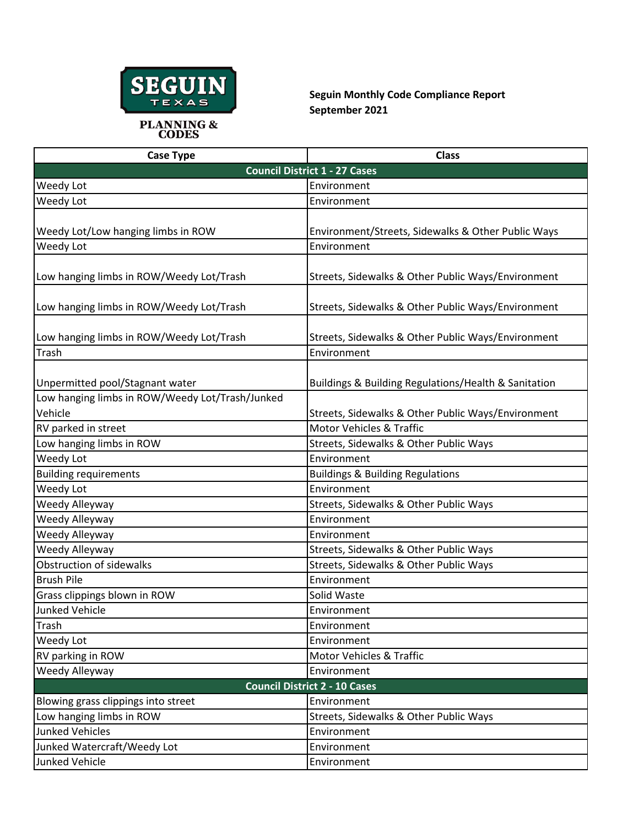

**Seguin Monthly Code Compliance Report September 2021**

| <b>Case Type</b>                                | <b>Class</b>                                         |
|-------------------------------------------------|------------------------------------------------------|
|                                                 | <b>Council District 1 - 27 Cases</b>                 |
| Weedy Lot                                       | Environment                                          |
| Weedy Lot                                       | Environment                                          |
|                                                 |                                                      |
| Weedy Lot/Low hanging limbs in ROW              | Environment/Streets, Sidewalks & Other Public Ways   |
| Weedy Lot                                       | Environment                                          |
|                                                 |                                                      |
| Low hanging limbs in ROW/Weedy Lot/Trash        | Streets, Sidewalks & Other Public Ways/Environment   |
|                                                 |                                                      |
| Low hanging limbs in ROW/Weedy Lot/Trash        | Streets, Sidewalks & Other Public Ways/Environment   |
|                                                 |                                                      |
| Low hanging limbs in ROW/Weedy Lot/Trash        | Streets, Sidewalks & Other Public Ways/Environment   |
| Trash                                           | Environment                                          |
|                                                 |                                                      |
| Unpermitted pool/Stagnant water                 | Buildings & Building Regulations/Health & Sanitation |
| Low hanging limbs in ROW/Weedy Lot/Trash/Junked |                                                      |
| Vehicle                                         | Streets, Sidewalks & Other Public Ways/Environment   |
| RV parked in street                             | <b>Motor Vehicles &amp; Traffic</b>                  |
| Low hanging limbs in ROW                        | Streets, Sidewalks & Other Public Ways               |
| Weedy Lot                                       | Environment                                          |
| <b>Building requirements</b>                    | <b>Buildings &amp; Building Regulations</b>          |
| Weedy Lot                                       | Environment                                          |
| Weedy Alleyway                                  | Streets, Sidewalks & Other Public Ways               |
| Weedy Alleyway                                  | Environment                                          |
| Weedy Alleyway                                  | Environment                                          |
| Weedy Alleyway                                  | Streets, Sidewalks & Other Public Ways               |
| Obstruction of sidewalks                        | Streets, Sidewalks & Other Public Ways               |
| <b>Brush Pile</b>                               | Environment                                          |
| Grass clippings blown in ROW                    | Solid Waste                                          |
| Junked Vehicle                                  | Environment                                          |
| Trash                                           | Environment                                          |
| Weedy Lot                                       | Environment                                          |
| RV parking in ROW                               | Motor Vehicles & Traffic                             |
| Weedy Alleyway                                  | Environment                                          |
|                                                 | <b>Council District 2 - 10 Cases</b>                 |
| Blowing grass clippings into street             | Environment                                          |
| Low hanging limbs in ROW                        | Streets, Sidewalks & Other Public Ways               |
| <b>Junked Vehicles</b>                          | Environment                                          |
| Junked Watercraft/Weedy Lot                     | Environment                                          |
| Junked Vehicle                                  | Environment                                          |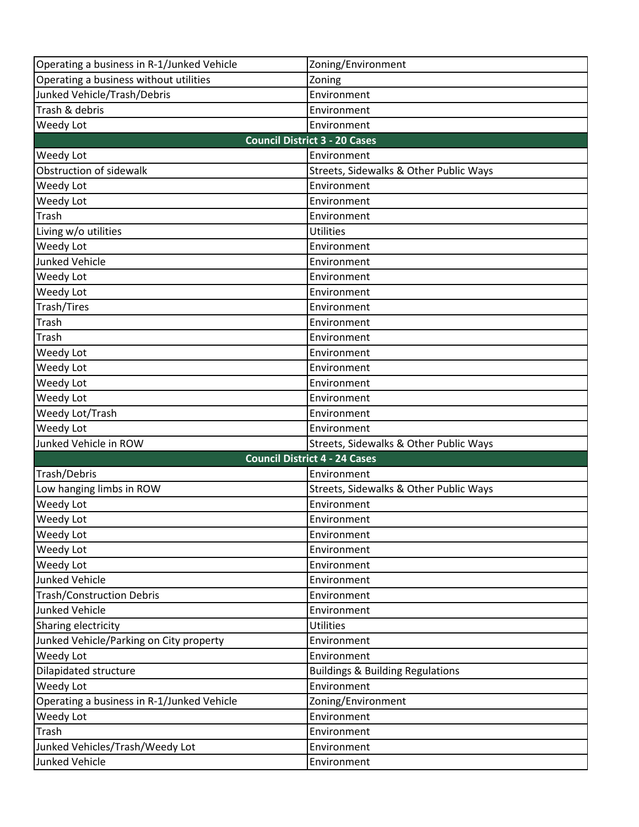| Operating a business in R-1/Junked Vehicle        | Zoning/Environment                          |
|---------------------------------------------------|---------------------------------------------|
| Operating a business without utilities            | Zoning                                      |
| Junked Vehicle/Trash/Debris                       | Environment                                 |
| Trash & debris                                    | Environment                                 |
| Weedy Lot                                         | Environment                                 |
|                                                   | <b>Council District 3 - 20 Cases</b>        |
| Weedy Lot                                         | Environment                                 |
| Obstruction of sidewalk                           | Streets, Sidewalks & Other Public Ways      |
| Weedy Lot                                         | Environment                                 |
| Weedy Lot                                         | Environment                                 |
| Trash                                             | Environment                                 |
| Living w/o utilities                              | <b>Utilities</b>                            |
| Weedy Lot                                         | Environment                                 |
| <b>Junked Vehicle</b>                             | Environment                                 |
| Weedy Lot                                         | Environment                                 |
| Weedy Lot                                         | Environment                                 |
| Trash/Tires                                       | Environment                                 |
| Trash                                             | Environment                                 |
| Trash                                             | Environment                                 |
| Weedy Lot                                         | Environment                                 |
| Weedy Lot                                         | Environment                                 |
| Weedy Lot                                         | Environment                                 |
| Weedy Lot                                         | Environment                                 |
| Weedy Lot/Trash                                   | Environment                                 |
| Weedy Lot                                         | Environment                                 |
| Junked Vehicle in ROW                             | Streets, Sidewalks & Other Public Ways      |
|                                                   | <b>Council District 4 - 24 Cases</b>        |
| Trash/Debris                                      | Environment                                 |
| Low hanging limbs in ROW                          | Streets, Sidewalks & Other Public Ways      |
|                                                   |                                             |
| Weedy Lot                                         | Environment                                 |
| Weedy Lot                                         | Environment                                 |
| Weedy Lot                                         | Environment                                 |
| Weedy Lot                                         | Environment                                 |
| Weedy Lot                                         | Environment                                 |
| <b>Junked Vehicle</b>                             | Environment                                 |
| <b>Trash/Construction Debris</b>                  | Environment                                 |
| Junked Vehicle                                    | Environment                                 |
| Sharing electricity                               | <b>Utilities</b>                            |
| Junked Vehicle/Parking on City property           | Environment                                 |
| Weedy Lot                                         | Environment                                 |
| Dilapidated structure                             | <b>Buildings &amp; Building Regulations</b> |
| Weedy Lot                                         | Environment                                 |
| Operating a business in R-1/Junked Vehicle        | Zoning/Environment                          |
| Weedy Lot                                         | Environment                                 |
| Trash                                             | Environment                                 |
| Junked Vehicles/Trash/Weedy Lot<br>Junked Vehicle | Environment<br>Environment                  |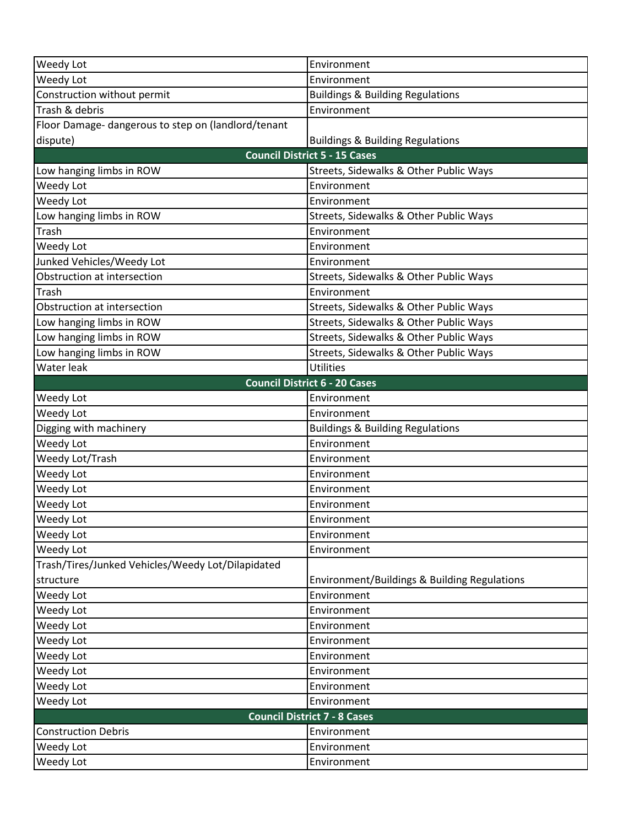| Weedy Lot                                           | Environment                                  |
|-----------------------------------------------------|----------------------------------------------|
| Weedy Lot                                           | Environment                                  |
| Construction without permit                         | <b>Buildings &amp; Building Regulations</b>  |
| Trash & debris                                      | Environment                                  |
| Floor Damage- dangerous to step on (landlord/tenant |                                              |
| dispute)                                            | <b>Buildings &amp; Building Regulations</b>  |
|                                                     | <b>Council District 5 - 15 Cases</b>         |
| Low hanging limbs in ROW                            | Streets, Sidewalks & Other Public Ways       |
| Weedy Lot                                           | Environment                                  |
| Weedy Lot                                           | Environment                                  |
| Low hanging limbs in ROW                            | Streets, Sidewalks & Other Public Ways       |
| Trash                                               | Environment                                  |
| Weedy Lot                                           | Environment                                  |
| Junked Vehicles/Weedy Lot                           | Environment                                  |
| Obstruction at intersection                         | Streets, Sidewalks & Other Public Ways       |
| Trash                                               | Environment                                  |
| Obstruction at intersection                         | Streets, Sidewalks & Other Public Ways       |
| Low hanging limbs in ROW                            | Streets, Sidewalks & Other Public Ways       |
| Low hanging limbs in ROW                            | Streets, Sidewalks & Other Public Ways       |
| Low hanging limbs in ROW                            | Streets, Sidewalks & Other Public Ways       |
| Water leak                                          | Utilities                                    |
|                                                     | <b>Council District 6 - 20 Cases</b>         |
| Weedy Lot                                           | Environment                                  |
| Weedy Lot                                           | Environment                                  |
| Digging with machinery                              | <b>Buildings &amp; Building Regulations</b>  |
| Weedy Lot                                           | Environment                                  |
| Weedy Lot/Trash                                     | Environment                                  |
| Weedy Lot                                           | Environment                                  |
| Weedy Lot                                           | Environment                                  |
| Weedy Lot                                           | Environment                                  |
| Weedy Lot                                           | Environment                                  |
| Weedy Lot                                           | Environment                                  |
| Weedy Lot                                           | Environment                                  |
| Trash/Tires/Junked Vehicles/Weedy Lot/Dilapidated   |                                              |
| structure                                           | Environment/Buildings & Building Regulations |
| Weedy Lot                                           | Environment                                  |
| Weedy Lot                                           | Environment                                  |
| Weedy Lot                                           | Environment                                  |
| Weedy Lot                                           | Environment                                  |
| Weedy Lot                                           | Environment                                  |
| Weedy Lot                                           | Environment                                  |
| Weedy Lot                                           | Environment                                  |
| Weedy Lot                                           | Environment                                  |
|                                                     | <b>Council District 7 - 8 Cases</b>          |
| <b>Construction Debris</b>                          | Environment                                  |
| Weedy Lot                                           | Environment                                  |
| Weedy Lot                                           | Environment                                  |